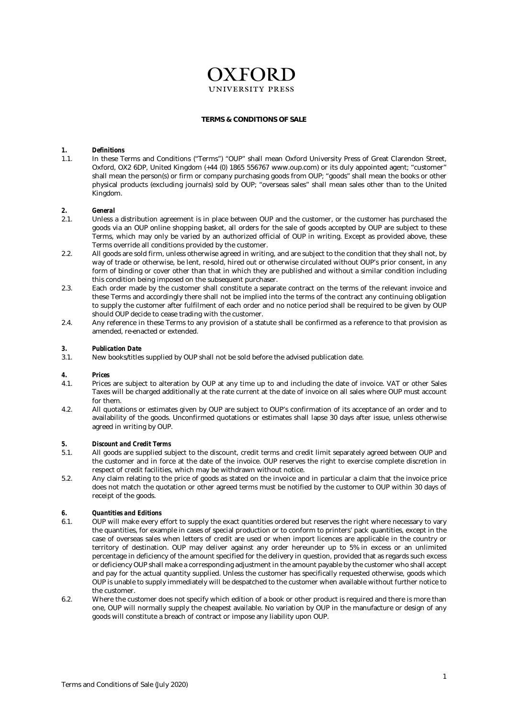# **OXFORD**

#### **TERMS & CONDITIONS OF SALE**

#### *1. Definitions*

1.1. In these Terms and Conditions ("Terms") "OUP" shall mean Oxford University Press of Great Clarendon Street, Oxford, OX2 6DP, United Kingdom (+44 (0) 1865 556767 www.oup.com) or its duly appointed agent; "customer" shall mean the person(s) or firm or company purchasing goods from OUP; "goods" shall mean the books or other physical products (excluding journals) sold by OUP; "overseas sales" shall mean sales other than to the United Kingdom.

#### *2. General*

- 2.1. Unless a distribution agreement is in place between OUP and the customer, or the customer has purchased the goods via an OUP online shopping basket, all orders for the sale of goods accepted by OUP are subject to these Terms, which may only be varied by an authorized official of OUP in writing. Except as provided above, these Terms override all conditions provided by the customer.
- 2.2. All goods are sold firm, unless otherwise agreed in writing, and are subject to the condition that they shall not, by way of trade or otherwise, be lent, re-sold, hired out or otherwise circulated without OUP's prior consent, in any form of binding or cover other than that in which they are published and without a similar condition including this condition being imposed on the subsequent purchaser.
- 2.3. Each order made by the customer shall constitute a separate contract on the terms of the relevant invoice and these Terms and accordingly there shall not be implied into the terms of the contract any continuing obligation to supply the customer after fulfilment of each order and no notice period shall be required to be given by OUP should OUP decide to cease trading with the customer.
- 2.4. Any reference in these Terms to any provision of a statute shall be confirmed as a reference to that provision as amended, re-enacted or extended.

# *3. Publication Date*

New books/titles supplied by OUP shall not be sold before the advised publication date.

#### *4. Prices*

- 4.1. Prices are subject to alteration by OUP at any time up to and including the date of invoice. VAT or other Sales Taxes will be charged additionally at the rate current at the date of invoice on all sales where OUP must account for them.
- 4.2. All quotations or estimates given by OUP are subject to OUP's confirmation of its acceptance of an order and to availability of the goods. Unconfirmed quotations or estimates shall lapse 30 days after issue, unless otherwise agreed in writing by OUP.

#### *5. Discount and Credit Terms*

- 5.1. All goods are supplied subject to the discount, credit terms and credit limit separately agreed between OUP and the customer and in force at the date of the invoice. OUP reserves the right to exercise complete discretion in respect of credit facilities, which may be withdrawn without notice.
- 5.2. Any claim relating to the price of goods as stated on the invoice and in particular a claim that the invoice price does not match the quotation or other agreed terms must be notified by the customer to OUP within 30 days of receipt of the goods.

# *6. Quantities and Editions*

- 6.1. OUP will make every effort to supply the exact quantities ordered but reserves the right where necessary to vary the quantities, for example in cases of special production or to conform to printers' pack quantities, except in the case of overseas sales when letters of credit are used or when import licences are applicable in the country or territory of destination. OUP may deliver against any order hereunder up to 5% in excess or an unlimited percentage in deficiency of the amount specified for the delivery in question, provided that as regards such excess or deficiency OUP shall make a corresponding adjustment in the amount payable by the customer who shall accept and pay for the actual quantity supplied. Unless the customer has specifically requested otherwise, goods which OUP is unable to supply immediately will be despatched to the customer when available without further notice to the customer.
- 6.2. Where the customer does not specify which edition of a book or other product is required and there is more than one, OUP will normally supply the cheapest available. No variation by OUP in the manufacture or design of any goods will constitute a breach of contract or impose any liability upon OUP.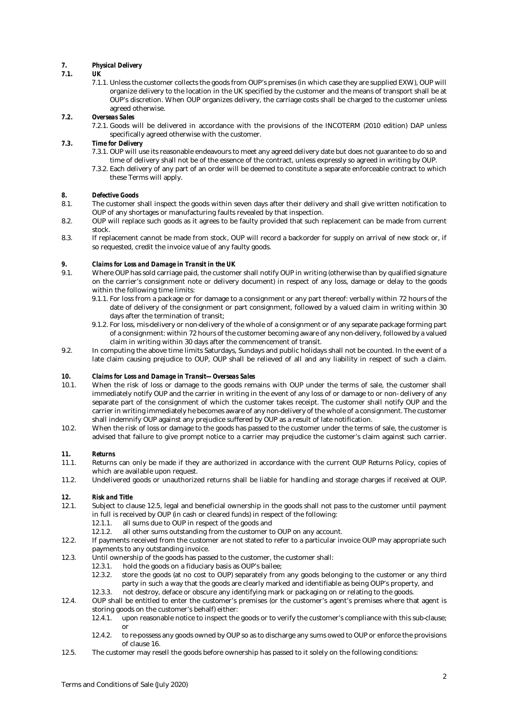# *7. Physical Delivery*

#### *7.1. UK*

7.1.1. Unless the customer collects the goods from OUP's premises (in which case they are supplied EXW), OUP will organize delivery to the location in the UK specified by the customer and the means of transport shall be at OUP's discretion. When OUP organizes delivery, the carriage costs shall be charged to the customer unless agreed otherwise.

# *7.2. Overseas Sales*

7.2.1. Goods will be delivered in accordance with the provisions of the INCOTERM (2010 edition) DAP unless specifically agreed otherwise with the customer.

# *7.3. Time for Delivery*

- 7.3.1. OUP will use its reasonable endeavours to meet any agreed delivery date but does not guarantee to do so and time of delivery shall not be of the essence of the contract, unless expressly so agreed in writing by OUP.
- 7.3.2. Each delivery of any part of an order will be deemed to constitute a separate enforceable contract to which these Terms will apply.

### *8. Defective Goods*

- 8.1. The customer shall inspect the goods within seven days after their delivery and shall give written notification to OUP of any shortages or manufacturing faults revealed by that inspection.
- 8.2. OUP will replace such goods as it agrees to be faulty provided that such replacement can be made from current stock.
- 8.3. If replacement cannot be made from stock, OUP will record a backorder for supply on arrival of new stock or, if so requested, credit the invoice value of any faulty goods.

### *9. Claims for Loss and Damage in Transit in the UK*

- 9.1. Where OUP has sold carriage paid, the customer shall notify OUP in writing (otherwise than by qualified signature on the carrier's consignment note or delivery document) in respect of any loss, damage or delay to the goods within the following time limits:
	- 9.1.1. For loss from a package or for damage to a consignment or any part thereof: verbally within 72 hours of the date of delivery of the consignment or part consignment, followed by a valued claim in writing within 30 days after the termination of transit;
	- 9.1.2. For loss, mis-delivery or non-delivery of the whole of a consignment or of any separate package forming part of a consignment: within 72 hours of the customer becoming aware of any non-delivery, followed by a valued claim in writing within 30 days after the commencement of transit.
- 9.2. In computing the above time limits Saturdays, Sundays and public holidays shall not be counted. In the event of a late claim causing prejudice to OUP, OUP shall be relieved of all and any liability in respect of such a claim.

### *10. Claims for Loss and Damage in Transit—Overseas Sales*

- 10.1. When the risk of loss or damage to the goods remains with OUP under the terms of sale, the customer shall immediately notify OUP and the carrier in writing in the event of any loss of or damage to or non- delivery of any separate part of the consignment of which the customer takes receipt. The customer shall notify OUP and the carrier in writing immediately he becomes aware of any non-delivery of the whole of a consignment. The customer shall indemnify OUP against any prejudice suffered by OUP as a result of late notification.
- 10.2. When the risk of loss or damage to the goods has passed to the customer under the terms of sale, the customer is advised that failure to give prompt notice to a carrier may prejudice the customer's claim against such carrier.

# *11. Returns*

- Returns can only be made if they are authorized in accordance with the current OUP Returns Policy, copies of which are available upon request.
- 11.2. Undelivered goods or unauthorized returns shall be liable for handling and storage charges if received at OUP.

### *12. Risk and Title*

- 12.1. Subject to clause 12.5, legal and beneficial ownership in the goods shall not pass to the customer until payment in full is received by OUP (in cash or cleared funds) in respect of the following:
	- 12.1.1. all sums due to OUP in respect of the goods and
	- 12.1.2. all other sums outstanding from the customer to OUP on any account.
- 12.2. If payments received from the customer are not stated to refer to a particular invoice OUP may appropriate such payments to any outstanding invoice.
- 12.3. Until ownership of the goods has passed to the customer, the customer shall:<br>12.3.1. hold the goods on a fiduciary basis as OUP's bailee:
	- hold the goods on a fiduciary basis as OUP's bailee:
	- 12.3.2. store the goods (at no cost to OUP) separately from any goods belonging to the customer or any third party in such a way that the goods are clearly marked and identifiable as being OUP's property, and
	- 12.3.3. not destroy, deface or obscure any identifying mark or packaging on or relating to the goods.
- 12.4. OUP shall be entitled to enter the customer's premises (or the customer's agent's premises where that agent is storing goods on the customer's behalf) either:
	- 12.4.1. upon reasonable notice to inspect the goods or to verify the customer's compliance with this sub-clause; or
	- 12.4.2. to re-possess any goods owned by OUP so as to discharge any sums owed to OUP or enforce the provisions of clause 16.
- 12.5. The customer may resell the goods before ownership has passed to it solely on the following conditions: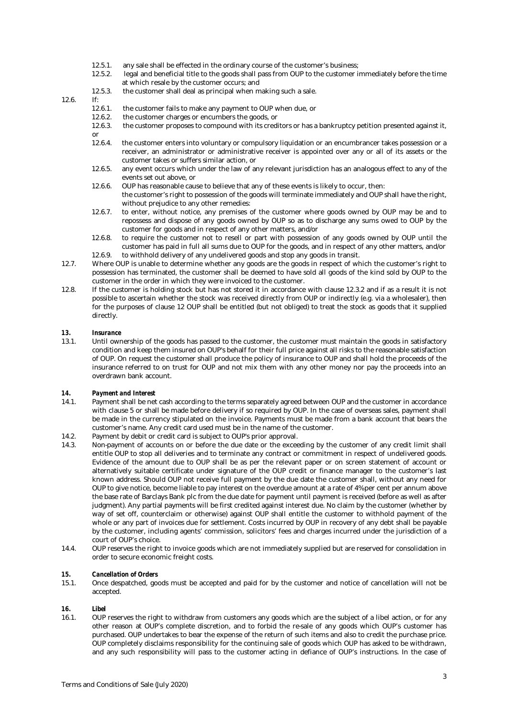- 12.5.1. any sale shall be effected in the ordinary course of the customer's business;
- 12.5.2. legal and beneficial title to the goods shall pass from OUP to the customer immediately before the time at which resale by the customer occurs; and
- 12.5.3. the customer shall deal as principal when making such a sale.

# 12.6. If:  $12.6.1$ .

- the customer fails to make any payment to OUP when due, or
- 12.6.2. the customer charges or encumbers the goods, or 12.6.3. the customer proposes to compound with its credi
- 12.6.3. the customer proposes to compound with its creditors or has a bankruptcy petition presented against it, or<br>12.6.4.
- the customer enters into voluntary or compulsory liquidation or an encumbrancer takes possession or a receiver, an administrator or administrative receiver is appointed over any or all of its assets or the customer takes or suffers similar action, or
- 12.6.5. any event occurs which under the law of any relevant jurisdiction has an analogous effect to any of the events set out above, or
- 12.6.6. OUP has reasonable cause to believe that any of these events is likely to occur, then: the customer's right to possession of the goods will terminate immediately and OUP shall have the right, without prejudice to any other remedies:
- 12.6.7. to enter, without notice, any premises of the customer where goods owned by OUP may be and to repossess and dispose of any goods owned by OUP so as to discharge any sums owed to OUP by the customer for goods and in respect of any other matters, and/or
- 12.6.8. to require the customer not to resell or part with possession of any goods owned by OUP until the customer has paid in full all sums due to OUP for the goods, and in respect of any other matters, and/or 12.6.9. to withhold delivery of any undelivered goods and stop any goods in transit.
- 12.7. Where OUP is unable to determine whether any goods are the goods in respect of which the customer's right to possession has terminated, the customer shall be deemed to have sold all goods of the kind sold by OUP to the customer in the order in which they were invoiced to the customer.
- 12.8. If the customer is holding stock but has not stored it in accordance with clause 12.3.2 and if as a result it is not possible to ascertain whether the stock was received directly from OUP or indirectly (e.g. via a wholesaler), then for the purposes of clause 12 OUP shall be entitled (but not obliged) to treat the stock as goods that it supplied directly.

### *13. Insurance*

13.1. Until ownership of the goods has passed to the customer, the customer must maintain the goods in satisfactory condition and keep them insured on OUP's behalf for their full price against all risks to the reasonable satisfaction of OUP. On request the customer shall produce the policy of insurance to OUP and shall hold the proceeds of the insurance referred to on trust for OUP and not mix them with any other money nor pay the proceeds into an overdrawn bank account.

#### *14. Payment and Interest*

- 14.1. Payment shall be net cash according to the terms separately agreed between OUP and the customer in accordance with clause 5 or shall be made before delivery if so required by OUP. In the case of overseas sales, payment shall be made in the currency stipulated on the invoice. Payments must be made from a bank account that bears the customer's name. Any credit card used must be in the name of the customer.
- 14.2. Payment by debit or credit card is subject to OUP's prior approval.
- 14.3. Non-payment of accounts on or before the due date or the exceeding by the customer of any credit limit shall entitle OUP to stop all deliveries and to terminate any contract or commitment in respect of undelivered goods. Evidence of the amount due to OUP shall be as per the relevant paper or on screen statement of account or alternatively suitable certificate under signature of the OUP credit or finance manager to the customer's last known address. Should OUP not receive full payment by the due date the customer shall, without any need for OUP to give notice, become liable to pay interest on the overdue amount at a rate of 4% per cent per annum above the base rate of Barclays Bank plc from the due date for payment until payment is received (before as well as after judgment). Any partial payments will be first credited against interest due. No claim by the customer (whether by way of set off, counterclaim or otherwise) against OUP shall entitle the customer to withhold payment of the whole or any part of invoices due for settlement. Costs incurred by OUP in recovery of any debt shall be payable by the customer, including agents' commission, solicitors' fees and charges incurred under the jurisdiction of a court of OUP's choice.
- 14.4. OUP reserves the right to invoice goods which are not immediately supplied but are reserved for consolidation in order to secure economic freight costs.

#### *15. Cancellation of Orders*

15.1. Once despatched, goods must be accepted and paid for by the customer and notice of cancellation will not be accepted.

#### *16. Libel*

16.1. OUP reserves the right to withdraw from customers any goods which are the subject of a libel action, or for any other reason at OUP's complete discretion, and to forbid the re-sale of any goods which OUP's customer has purchased. OUP undertakes to bear the expense of the return of such items and also to credit the purchase price. OUP completely disclaims responsibility for the continuing sale of goods which OUP has asked to be withdrawn, and any such responsibility will pass to the customer acting in defiance of OUP's instructions. In the case of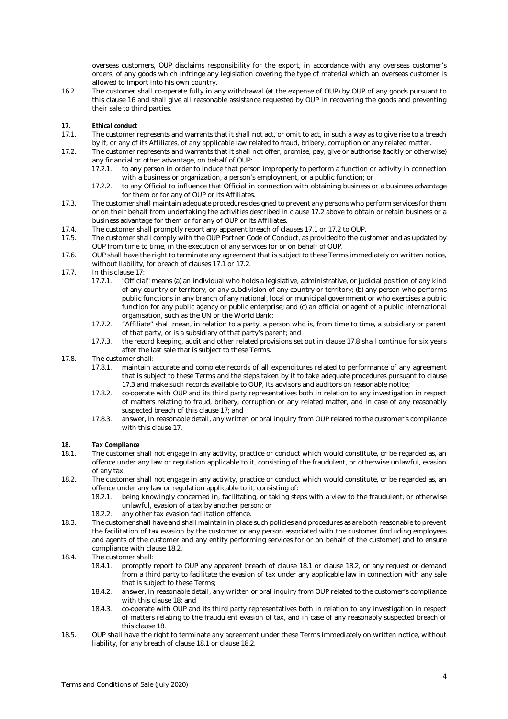overseas customers, OUP disclaims responsibility for the export, in accordance with any overseas customer's orders, of any goods which infringe any legislation covering the type of material which an overseas customer is allowed to import into his own country.

16.2. The customer shall co-operate fully in any withdrawal (at the expense of OUP) by OUP of any goods pursuant to this clause 16 and shall give all reasonable assistance requested by OUP in recovering the goods and preventing their sale to third parties.

# *17. Ethical conduct*

- 17.1. The customer represents and warrants that it shall not act, or omit to act, in such a way as to give rise to a breach by it, or any of its Affiliates, of any applicable law related to fraud, bribery, corruption or any related matter.
- 17.2. The customer represents and warrants that it shall not offer, promise, pay, give or authorise (tacitly or otherwise) any financial or other advantage, on behalf of OUP:
	- 17.2.1. to any person in order to induce that person improperly to perform a function or activity in connection with a business or organization, a person's employment, or a public function; or
	- 17.2.2. to any Official to influence that Official in connection with obtaining business or a business advantage for them or for any of OUP or its Affiliates.
- 17.3. The customer shall maintain adequate procedures designed to prevent any persons who perform services for them or on their behalf from undertaking the activities described in clause 17.2 above to obtain or retain business or a business advantage for them or for any of OUP or its Affiliates.
- 17.4. The customer shall promptly report any apparent breach of clauses 17.1 or 17.2 to OUP.<br>17.5 The customer shall comply with the OUP Partner Code of Conduct, as provided to the cu
- The customer shall comply with the OUP Partner Code of Conduct, as provided to the customer and as updated by OUP from time to time, in the execution of any services for or on behalf of OUP.
- 17.6. OUP shall have the right to terminate any agreement that is subject to these Terms immediately on written notice, without liability, for breach of clauses 17.1 or 17.2.
- 17.7. In this clause 17:
	- 17.7.1. "Official" means (a) an individual who holds a legislative, administrative, or judicial position of any kind of any country or territory, or any subdivision of any country or territory; (b) any person who performs public functions in any branch of any national, local or municipal government or who exercises a public function for any public agency or public enterprise; and (c) an official or agent of a public international organisation, such as the UN or the World Bank;
	- 17.7.2. "Affiliate" shall mean, in relation to a party, a person who is, from time to time, a subsidiary or parent of that party, or is a subsidiary of that party's parent; and
	- 17.7.3. the record keeping, audit and other related provisions set out in clause 17.8 shall continue for six years after the last sale that is subject to these Terms.
- 17.8. The customer shall:
	- 17.8.1. maintain accurate and complete records of all expenditures related to performance of any agreement that is subject to these Terms and the steps taken by it to take adequate procedures pursuant to clause 17.3 and make such records available to OUP, its advisors and auditors on reasonable notice;
	- 17.8.2. co-operate with OUP and its third party representatives both in relation to any investigation in respect of matters relating to fraud, bribery, corruption or any related matter, and in case of any reasonably suspected breach of this clause 17; and
	- 17.8.3. answer, in reasonable detail, any written or oral inquiry from OUP related to the customer's compliance with this clause 17.

# *18. Tax Compliance*

- The customer shall not engage in any activity, practice or conduct which would constitute, or be regarded as, an offence under any law or regulation applicable to it, consisting of the fraudulent, or otherwise unlawful, evasion of any tax.
- 18.2. The customer shall not engage in any activity, practice or conduct which would constitute, or be regarded as, an offence under any law or regulation applicable to it, consisting of:
	- 18.2.1. being knowingly concerned in, facilitating, or taking steps with a view to the fraudulent, or otherwise unlawful, evasion of a tax by another person; or
	- 18.2.2. any other tax evasion facilitation offence.
- 18.3. The customer shall have and shall maintain in place such policies and procedures as are both reasonable to prevent the facilitation of tax evasion by the customer or any person associated with the customer (including employees and agents of the customer and any entity performing services for or on behalf of the customer) and to ensure compliance with clause 18.2.
- 18.4. The customer shall:<br>18.4.1. promptly
	- 18.4.1. promptly report to OUP any apparent breach of clause 18.1 or clause 18.2, or any request or demand from a third party to facilitate the evasion of tax under any applicable law in connection with any sale that is subject to these Terms;
	- 18.4.2. answer, in reasonable detail, any written or oral inquiry from OUP related to the customer's compliance with this clause 18; and
	- 18.4.3. co-operate with OUP and its third party representatives both in relation to any investigation in respect of matters relating to the fraudulent evasion of tax, and in case of any reasonably suspected breach of this clause 18.
- 18.5. OUP shall have the right to terminate any agreement under these Terms immediately on written notice, without liability, for any breach of clause 18.1 or clause 18.2.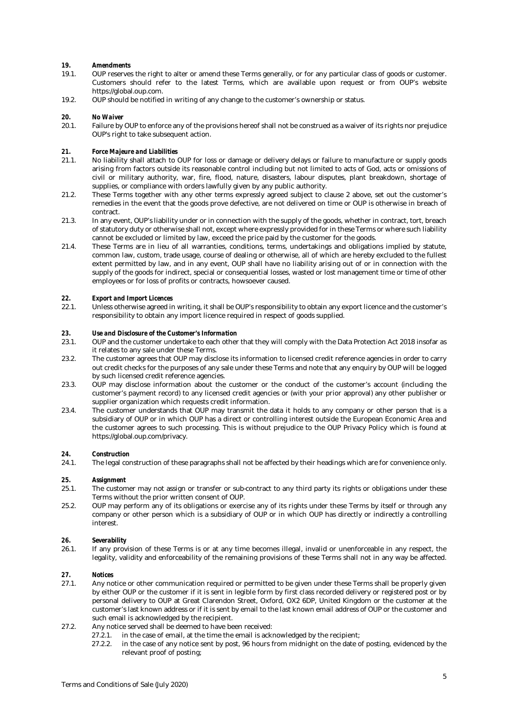### *19. Amendments*

- 19.1. OUP reserves the right to alter or amend these Terms generally, or for any particular class of goods or customer. Customers should refer to the latest Terms, which are available upon request or from OUP's website https://global.oup.com.
- 19.2. OUP should be notified in writing of any change to the customer's ownership or status.

# *20. No Waiver*

Failure by OUP to enforce any of the provisions hereof shall not be construed as a waiver of its rights nor prejudice OUP's right to take subsequent action.

#### *21. Force Majeure and Liabilities*

- 21.1. No liability shall attach to OUP for loss or damage or delivery delays or failure to manufacture or supply goods arising from factors outside its reasonable control including but not limited to acts of God, acts or omissions of civil or military authority, war, fire, flood, nature, disasters, labour disputes, plant breakdown, shortage of supplies, or compliance with orders lawfully given by any public authority.
- 21.2. These Terms together with any other terms expressly agreed subject to clause 2 above, set out the customer's remedies in the event that the goods prove defective, are not delivered on time or OUP is otherwise in breach of contract.
- 21.3. In any event, OUP's liability under or in connection with the supply of the goods, whether in contract, tort, breach of statutory duty or otherwise shall not, except where expressly provided for in these Terms or where such liability cannot be excluded or limited by law, exceed the price paid by the customer for the goods.
- 21.4. These Terms are in lieu of all warranties, conditions, terms, undertakings and obligations implied by statute, common law, custom, trade usage, course of dealing or otherwise, all of which are hereby excluded to the fullest extent permitted by law, and in any event, OUP shall have no liability arising out of or in connection with the supply of the goods for indirect, special or consequential losses, wasted or lost management time or time of other employees or for loss of profits or contracts, howsoever caused.

### *22. Export and Import Licences*

22.1. Unless otherwise agreed in writing, it shall be OUP's responsibility to obtain any export licence and the customer's responsibility to obtain any import licence required in respect of goods supplied.

#### *23. Use and Disclosure of the Customer's Information*

- 23.1. OUP and the customer undertake to each other that they will comply with the Data Protection Act 2018 insofar as it relates to any sale under these Terms.
- 23.2. The customer agrees that OUP may disclose its information to licensed credit reference agencies in order to carry out credit checks for the purposes of any sale under these Terms and note that any enquiry by OUP will be logged by such licensed credit reference agencies.
- 23.3. OUP may disclose information about the customer or the conduct of the customer's account (including the customer's payment record) to any licensed credit agencies or (with your prior approval) any other publisher or supplier organization which requests credit information.
- 23.4. The customer understands that OUP may transmit the data it holds to any company or other person that is a subsidiary of OUP or in which OUP has a direct or controlling interest outside the European Economic Area and the customer agrees to such processing. This is without prejudice to the OUP Privacy Policy which is found at https://global.oup.com/privacy.

# *24. Construction*

The legal construction of these paragraphs shall not be affected by their headings which are for convenience only.

### *25. Assignment*

- 25.1. The customer may not assign or transfer or sub-contract to any third party its rights or obligations under these Terms without the prior written consent of OUP.
- 25.2. OUP may perform any of its obligations or exercise any of its rights under these Terms by itself or through any company or other person which is a subsidiary of OUP or in which OUP has directly or indirectly a controlling interest.

#### *26. Severability*

26.1. If any provision of these Terms is or at any time becomes illegal, invalid or unenforceable in any respect, the legality, validity and enforceability of the remaining provisions of these Terms shall not in any way be affected.

# *27. Notices*

- 27.1. Any notice or other communication required or permitted to be given under these Terms shall be properly given by either OUP or the customer if it is sent in legible form by first class recorded delivery or registered post or by personal delivery to OUP at Great Clarendon Street, Oxford, OX2 6DP, United Kingdom or the customer at the customer's last known address or if it is sent by email to the last known email address of OUP or the customer and such email is acknowledged by the recipient.
- 27.2. Any notice served shall be deemed to have been received:
	- 27.2.1. in the case of email, at the time the email is acknowledged by the recipient;
		- 27.2.2. in the case of any notice sent by post, 96 hours from midnight on the date of posting, evidenced by the relevant proof of posting;